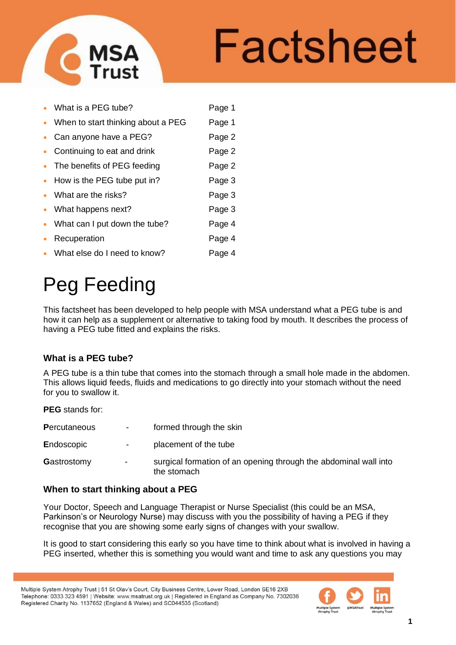

# Factsheet

|           | • What is a PEG tube?                | Page 1 |
|-----------|--------------------------------------|--------|
|           | • When to start thinking about a PEG | Page 1 |
|           | • Can anyone have a PEG?             | Page 2 |
|           | • Continuing to eat and drink        | Page 2 |
|           | • The benefits of PEG feeding        | Page 2 |
|           | • How is the PEG tube put in?        | Page 3 |
|           | • What are the risks?                | Page 3 |
|           | • What happens next?                 | Page 3 |
|           | • What can I put down the tube?      | Page 4 |
| $\bullet$ | Recuperation                         | Page 4 |
|           | • What else do I need to know?       | Page 4 |

# Peg Feeding

This factsheet has been developed to help people with MSA understand what a PEG tube is and how it can help as a supplement or alternative to taking food by mouth. It describes the process of having a PEG tube fitted and explains the risks.

# **What is a PEG tube?**

A PEG tube is a thin tube that comes into the stomach through a small hole made in the abdomen. This allows liquid feeds, fluids and medications to go directly into your stomach without the need for you to swallow it.

**PEG** stands for:

| <b>Percutaneous</b> | $\sim$         | formed through the skin                                                         |
|---------------------|----------------|---------------------------------------------------------------------------------|
| Endoscopic          | $\sim$         | placement of the tube                                                           |
| Gastrostomy         | $\blacksquare$ | surgical formation of an opening through the abdominal wall into<br>the stomach |

# **When to start thinking about a PEG**

Your Doctor, Speech and Language Therapist or Nurse Specialist (this could be an MSA, Parkinson's or Neurology Nurse) may discuss with you the possibility of having a PEG if they recognise that you are showing some early signs of changes with your swallow.

It is good to start considering this early so you have time to think about what is involved in having a PEG inserted, whether this is something you would want and time to ask any questions you may

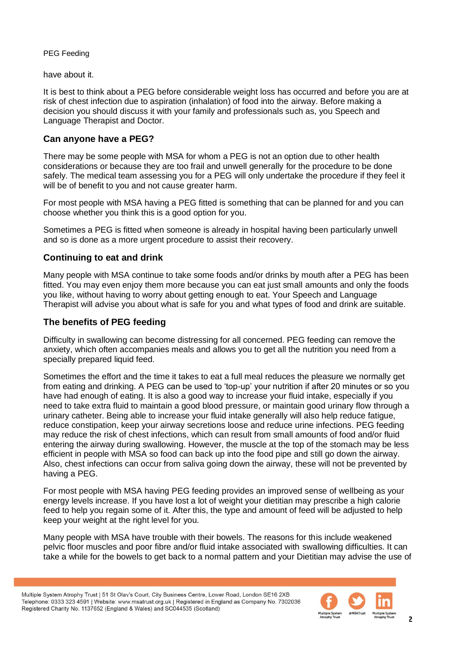have about it.

It is best to think about a PEG before considerable weight loss has occurred and before you are at risk of chest infection due to aspiration (inhalation) of food into the airway. Before making a decision you should discuss it with your family and professionals such as, you Speech and Language Therapist and Doctor.

### **Can anyone have a PEG?**

There may be some people with MSA for whom a PEG is not an option due to other health considerations or because they are too frail and unwell generally for the procedure to be done safely. The medical team assessing you for a PEG will only undertake the procedure if they feel it will be of benefit to you and not cause greater harm.

For most people with MSA having a PEG fitted is something that can be planned for and you can choose whether you think this is a good option for you.

Sometimes a PEG is fitted when someone is already in hospital having been particularly unwell and so is done as a more urgent procedure to assist their recovery.

# **Continuing to eat and drink**

Many people with MSA continue to take some foods and/or drinks by mouth after a PEG has been fitted. You may even enjoy them more because you can eat just small amounts and only the foods you like, without having to worry about getting enough to eat. Your Speech and Language Therapist will advise you about what is safe for you and what types of food and drink are suitable.

# **The benefits of PEG feeding**

Difficulty in swallowing can become distressing for all concerned. PEG feeding can remove the anxiety, which often accompanies meals and allows you to get all the nutrition you need from a specially prepared liquid feed.

Sometimes the effort and the time it takes to eat a full meal reduces the pleasure we normally get from eating and drinking. A PEG can be used to 'top-up' your nutrition if after 20 minutes or so you have had enough of eating. It is also a good way to increase your fluid intake, especially if you need to take extra fluid to maintain a good blood pressure, or maintain good urinary flow through a urinary catheter. Being able to increase your fluid intake generally will also help reduce fatigue, reduce constipation, keep your airway secretions loose and reduce urine infections. PEG feeding may reduce the risk of chest infections, which can result from small amounts of food and/or fluid entering the airway during swallowing. However, the muscle at the top of the stomach may be less efficient in people with MSA so food can back up into the food pipe and still go down the airway. Also, chest infections can occur from saliva going down the airway, these will not be prevented by having a PEG.

For most people with MSA having PEG feeding provides an improved sense of wellbeing as your energy levels increase. If you have lost a lot of weight your dietitian may prescribe a high calorie feed to help you regain some of it. After this, the type and amount of feed will be adjusted to help keep your weight at the right level for you.

Many people with MSA have trouble with their bowels. The reasons for this include weakened pelvic floor muscles and poor fibre and/or fluid intake associated with swallowing difficulties. It can take a while for the bowels to get back to a normal pattern and your Dietitian may advise the use of

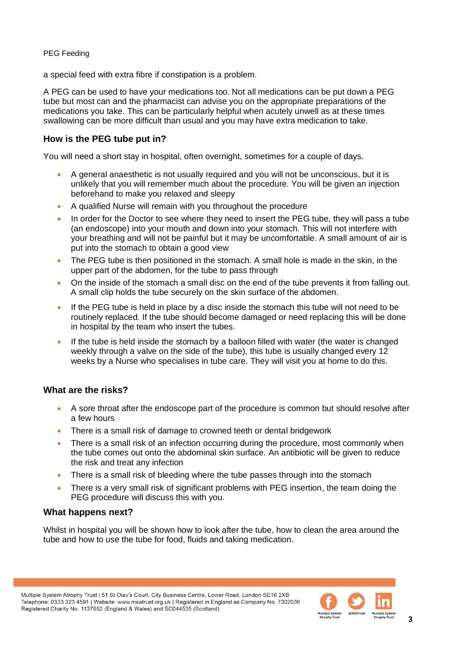a special feed with extra fibre if constipation is a problem.

A PEG can be used to have your medications too. Not all medications can be put down a PEG tube but most can and the pharmacist can advise you on the appropriate preparations of the medications you take. This can be particularly helpful when acutely unwell as at these times swallowing can be more difficult than usual and you may have extra medication to take.

#### **How is the PEG tube put in?**

You will need a short stay in hospital, often overnight, sometimes for a couple of days.

- A general anaesthetic is not usually required and you will not be unconscious, but it is unlikely that you will remember much about the procedure. You will be given an injection beforehand to make you relaxed and sleepy
- A qualified Nurse will remain with you throughout the procedure
- In order for the Doctor to see where they need to insert the PEG tube, they will pass a tube (an endoscope) into your mouth and down into your stomach. This will not interfere with your breathing and will not be painful but it may be uncomfortable. A small amount of air is put into the stomach to obtain a good view
- The PEG tube is then positioned in the stomach. A small hole is made in the skin, in the upper part of the abdomen, for the tube to pass through
- On the inside of the stomach a small disc on the end of the tube prevents it from falling out. A small clip holds the tube securely on the skin surface of the abdomen.
- If the PEG tube is held in place by a disc inside the stomach this tube will not need to be routinely replaced. If the tube should become damaged or need replacing this will be done in hospital by the team who insert the tubes.
- If the tube is held inside the stomach by a balloon filled with water (the water is changed weekly through a valve on the side of the tube), this tube is usually changed every 12 weeks by a Nurse who specialises in tube care. They will visit you at home to do this.

#### **What are the risks?**

- A sore throat after the endoscope part of the procedure is common but should resolve after a few hours
- There is a small risk of damage to crowned teeth or dental bridgework
- There is a small risk of an infection occurring during the procedure, most commonly when the tube comes out onto the abdominal skin surface. An antibiotic will be given to reduce the risk and treat any infection
- There is a small risk of bleeding where the tube passes through into the stomach
- There is a very small risk of significant problems with PEG insertion, the team doing the PEG procedure will discuss this with you.

#### **What happens next?**

Whilst in hospital you will be shown how to look after the tube, how to clean the area around the tube and how to use the tube for food, fluids and taking medication.

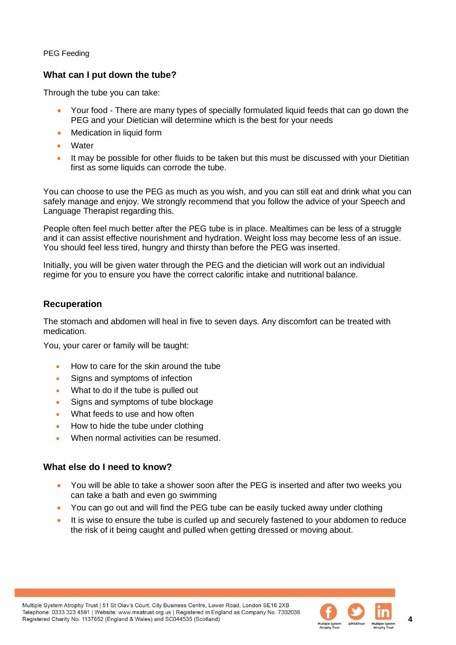## **What can I put down the tube?**

Through the tube you can take:

- Your food There are many types of specially formulated liquid feeds that can go down the PEG and your Dietician will determine which is the best for your needs
- Medication in liquid form
- Water
- It may be possible for other fluids to be taken but this must be discussed with your Dietitian first as some liquids can corrode the tube.

You can choose to use the PEG as much as you wish, and you can still eat and drink what you can safely manage and enjoy. We strongly recommend that you follow the advice of your Speech and Language Therapist regarding this.

People often feel much better after the PEG tube is in place. Mealtimes can be less of a struggle and it can assist effective nourishment and hydration. Weight loss may become less of an issue. You should feel less tired, hungry and thirsty than before the PEG was inserted.

Initially, you will be given water through the PEG and the dietician will work out an individual regime for you to ensure you have the correct calorific intake and nutritional balance.

#### **Recuperation**

The stomach and abdomen will heal in five to seven days. Any discomfort can be treated with medication.

You, your carer or family will be taught:

- How to care for the skin around the tube
- Signs and symptoms of infection
- What to do if the tube is pulled out
- Signs and symptoms of tube blockage
- What feeds to use and how often
- How to hide the tube under clothing
- When normal activities can be resumed.

#### **What else do I need to know?**

- You will be able to take a shower soon after the PEG is inserted and after two weeks you can take a bath and even go swimming
- You can go out and will find the PEG tube can be easily tucked away under clothing
- It is wise to ensure the tube is curled up and securely fastened to your abdomen to reduce the risk of it being caught and pulled when getting dressed or moving about.



**4**